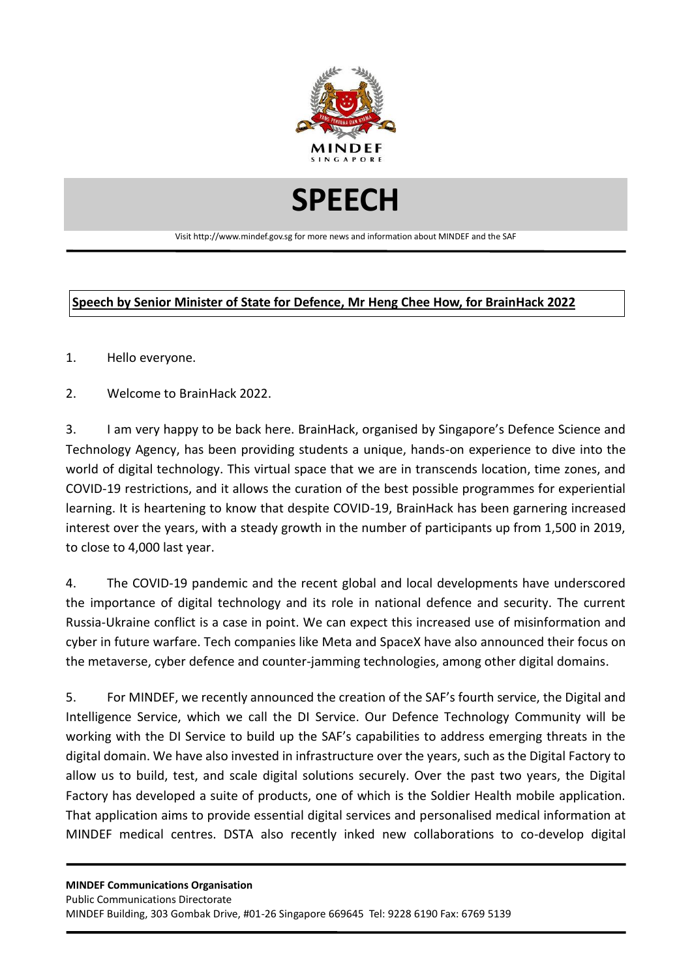

## **SPEECH**

Visit http://www.mindef.gov.sg for more news and information about MINDEF and the SAF

## **Speech by Senior Minister of State for Defence, Mr Heng Chee How, for BrainHack 2022**

- 1. Hello everyone.
- 2. Welcome to BrainHack 2022.

3. I am very happy to be back here. BrainHack, organised by Singapore's Defence Science and Technology Agency, has been providing students a unique, hands-on experience to dive into the world of digital technology. This virtual space that we are in transcends location, time zones, and COVID-19 restrictions, and it allows the curation of the best possible programmes for experiential learning. It is heartening to know that despite COVID-19, BrainHack has been garnering increased interest over the years, with a steady growth in the number of participants up from 1,500 in 2019, to close to 4,000 last year.

4. The COVID-19 pandemic and the recent global and local developments have underscored the importance of digital technology and its role in national defence and security. The current Russia-Ukraine conflict is a case in point. We can expect this increased use of misinformation and cyber in future warfare. Tech companies like Meta and SpaceX have also announced their focus on the metaverse, cyber defence and counter-jamming technologies, among other digital domains.

5. For MINDEF, we recently announced the creation of the SAF's fourth service, the Digital and Intelligence Service, which we call the DI Service. Our Defence Technology Community will be working with the DI Service to build up the SAF's capabilities to address emerging threats in the digital domain. We have also invested in infrastructure over the years, such as the Digital Factory to allow us to build, test, and scale digital solutions securely. Over the past two years, the Digital Factory has developed a suite of products, one of which is the Soldier Health mobile application. That application aims to provide essential digital services and personalised medical information at MINDEF medical centres. DSTA also recently inked new collaborations to co-develop digital